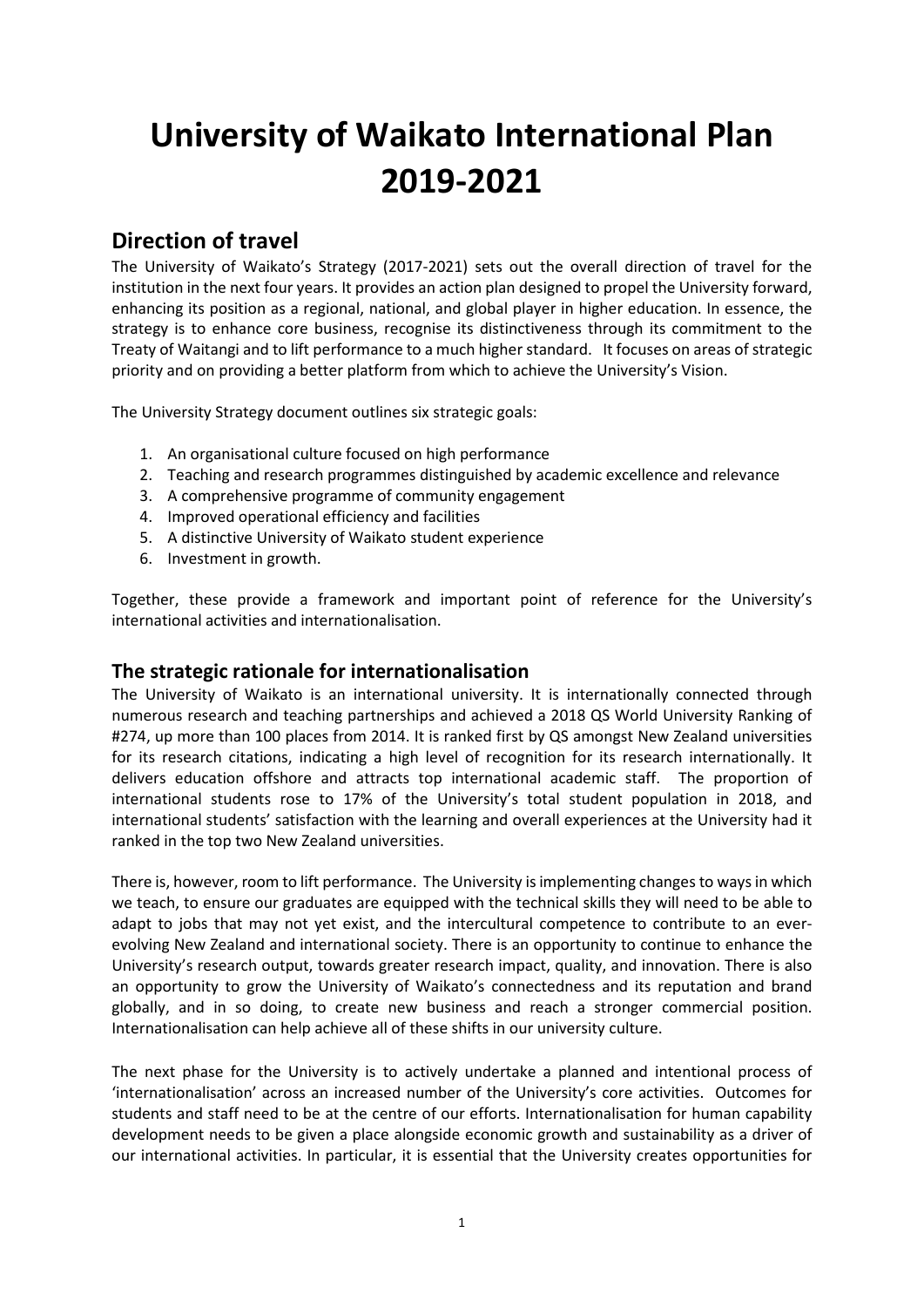# **University of Waikato International Plan 2019-2021**

# **Direction of travel**

The University of Waikato's Strategy (2017-2021) sets out the overall direction of travel for the institution in the next four years. It provides an action plan designed to propel the University forward, enhancing its position as a regional, national, and global player in higher education. In essence, the strategy is to enhance core business, recognise its distinctiveness through its commitment to the Treaty of Waitangi and to lift performance to a much higher standard. It focuses on areas of strategic priority and on providing a better platform from which to achieve the University's Vision.

The University Strategy document outlines six strategic goals:

- 1. An organisational culture focused on high performance
- 2. Teaching and research programmes distinguished by academic excellence and relevance
- 3. A comprehensive programme of community engagement
- 4. Improved operational efficiency and facilities
- 5. A distinctive University of Waikato student experience
- 6. Investment in growth.

Together, these provide a framework and important point of reference for the University's international activities and internationalisation.

### **The strategic rationale for internationalisation**

The University of Waikato is an international university. It is internationally connected through numerous research and teaching partnerships and achieved a 2018 QS World University Ranking of #274, up more than 100 places from 2014. It is ranked first by QS amongst New Zealand universities for its research citations, indicating a high level of recognition for its research internationally. It delivers education offshore and attracts top international academic staff. The proportion of international students rose to 17% of the University's total student population in 2018, and international students' satisfaction with the learning and overall experiences at the University had it ranked in the top two New Zealand universities.

There is, however, room to lift performance. The University is implementing changes to ways in which we teach, to ensure our graduates are equipped with the technical skills they will need to be able to adapt to jobs that may not yet exist, and the intercultural competence to contribute to an everevolving New Zealand and international society. There is an opportunity to continue to enhance the University's research output, towards greater research impact, quality, and innovation. There is also an opportunity to grow the University of Waikato's connectedness and its reputation and brand globally, and in so doing, to create new business and reach a stronger commercial position. Internationalisation can help achieve all of these shifts in our university culture.

The next phase for the University is to actively undertake a planned and intentional process of 'internationalisation' across an increased number of the University's core activities. Outcomes for students and staff need to be at the centre of our efforts. Internationalisation for human capability development needs to be given a place alongside economic growth and sustainability as a driver of our international activities. In particular, it is essential that the University creates opportunities for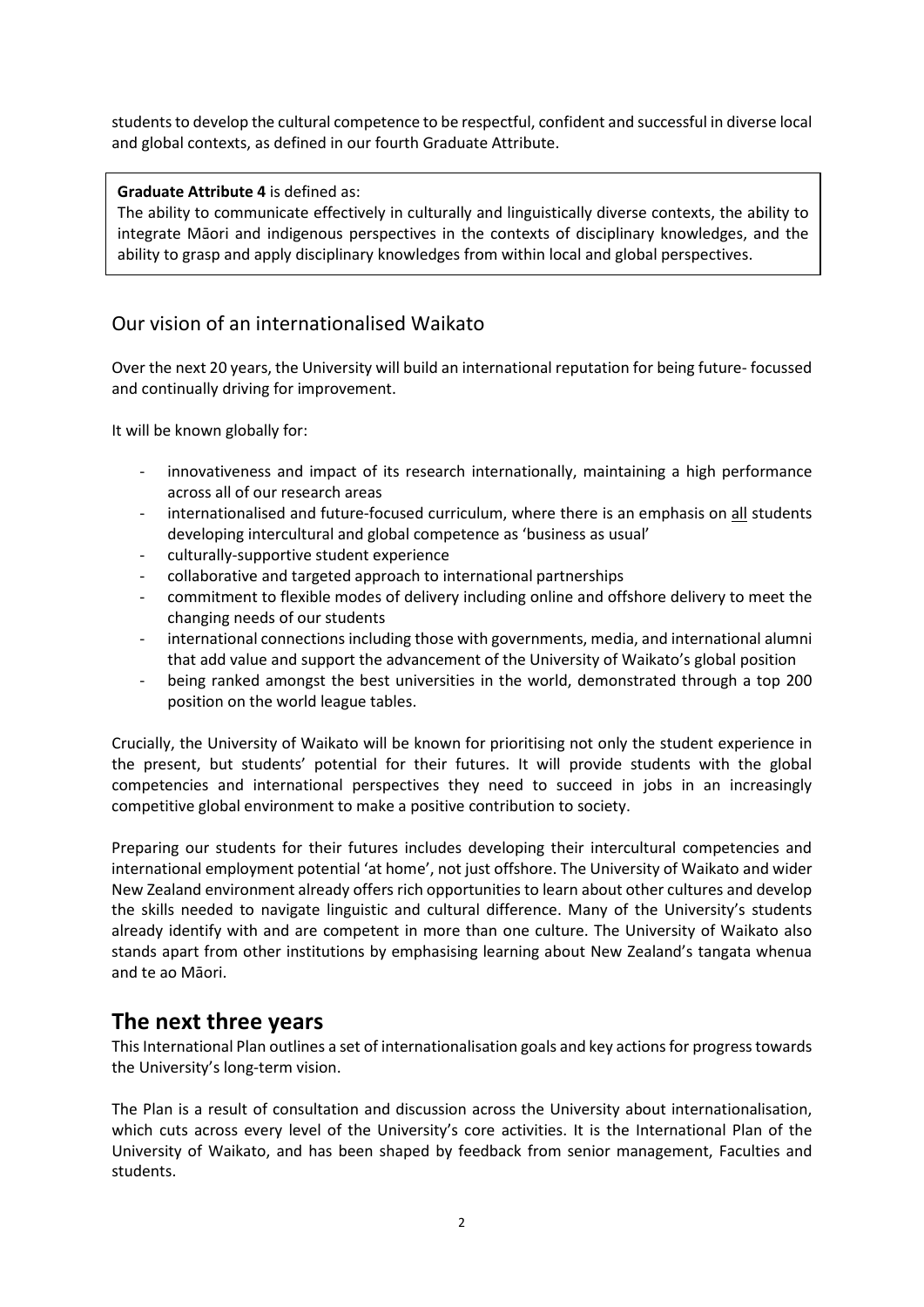students to develop the cultural competence to be respectful, confident and successful in diverse local and global contexts, as defined in our fourth Graduate Attribute.

### **Graduate Attribute 4** is defined as:

The ability to communicate effectively in culturally and linguistically diverse contexts, the ability to integrate Māori and indigenous perspectives in the contexts of disciplinary knowledges, and the ability to grasp and apply disciplinary knowledges from within local and global perspectives.

## Our vision of an internationalised Waikato

Over the next 20 years, the University will build an international reputation for being future- focussed and continually driving for improvement.

It will be known globally for:

- innovativeness and impact of its research internationally, maintaining a high performance across all of our research areas
- internationalised and future-focused curriculum, where there is an emphasis on all students developing intercultural and global competence as 'business as usual'
- culturally-supportive student experience
- collaborative and targeted approach to international partnerships
- commitment to flexible modes of delivery including online and offshore delivery to meet the changing needs of our students
- international connections including those with governments, media, and international alumni that add value and support the advancement of the University of Waikato's global position
- being ranked amongst the best universities in the world, demonstrated through a top 200 position on the world league tables.

Crucially, the University of Waikato will be known for prioritising not only the student experience in the present, but students' potential for their futures. It will provide students with the global competencies and international perspectives they need to succeed in jobs in an increasingly competitive global environment to make a positive contribution to society.

Preparing our students for their futures includes developing their intercultural competencies and international employment potential 'at home', not just offshore. The University of Waikato and wider New Zealand environment already offers rich opportunities to learn about other cultures and develop the skills needed to navigate linguistic and cultural difference. Many of the University's students already identify with and are competent in more than one culture. The University of Waikato also stands apart from other institutions by emphasising learning about New Zealand's tangata whenua and te ao Māori.

# **The next three years**

This International Plan outlines a set of internationalisation goals and key actions for progress towards the University's long-term vision.

The Plan is a result of consultation and discussion across the University about internationalisation, which cuts across every level of the University's core activities. It is the International Plan of the University of Waikato, and has been shaped by feedback from senior management, Faculties and students.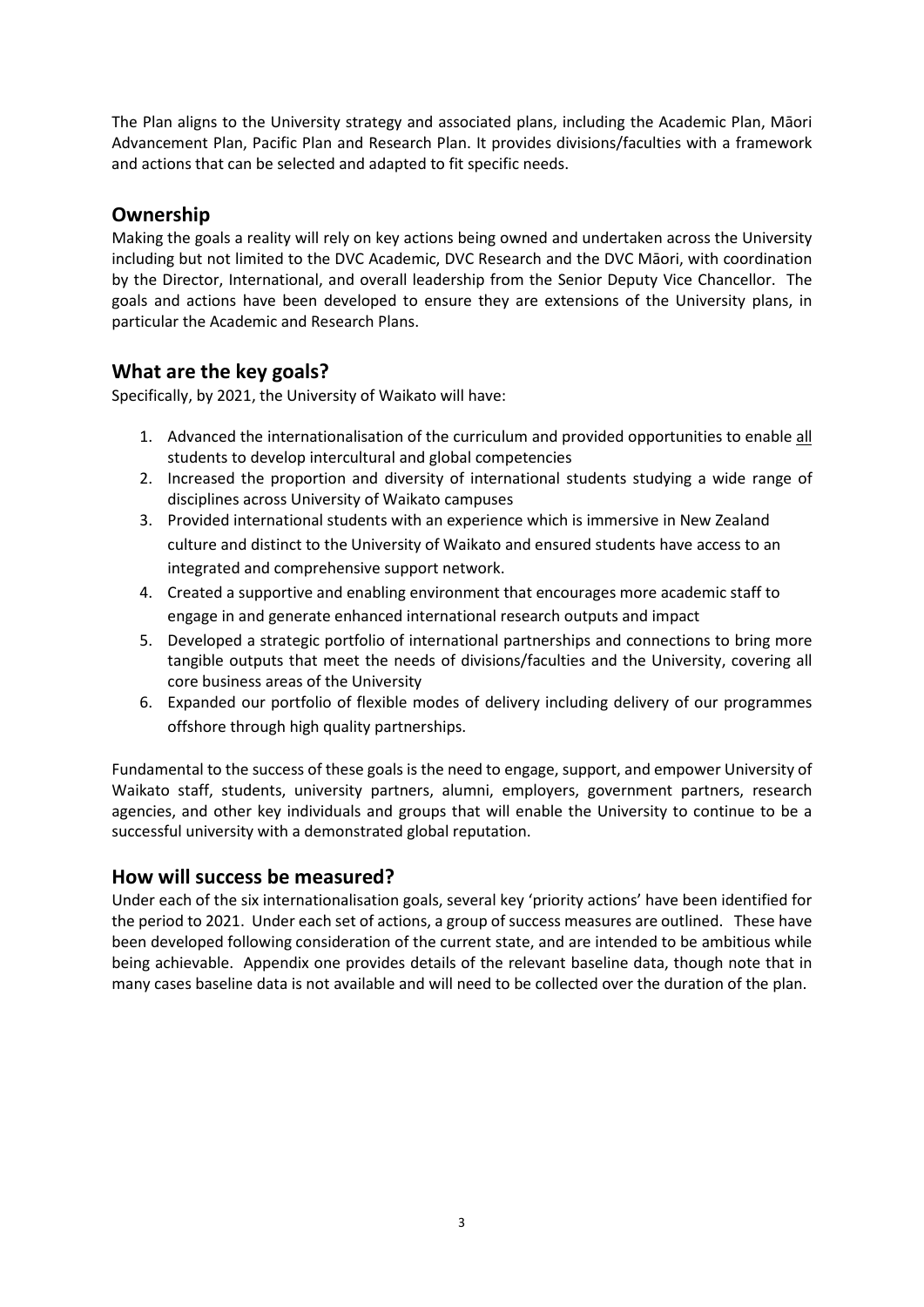The Plan aligns to the University strategy and associated plans, including the Academic Plan, Māori Advancement Plan, Pacific Plan and Research Plan. It provides divisions/faculties with a framework and actions that can be selected and adapted to fit specific needs.

# **Ownership**

Making the goals a reality will rely on key actions being owned and undertaken across the University including but not limited to the DVC Academic, DVC Research and the DVC Māori, with coordination by the Director, International, and overall leadership from the Senior Deputy Vice Chancellor. The goals and actions have been developed to ensure they are extensions of the University plans, in particular the Academic and Research Plans.

# **What are the key goals?**

Specifically, by 2021, the University of Waikato will have:

- 1. Advanced the internationalisation of the curriculum and provided opportunities to enable all students to develop intercultural and global competencies
- 2. Increased the proportion and diversity of international students studying a wide range of disciplines across University of Waikato campuses
- 3. Provided international students with an experience which is immersive in New Zealand culture and distinct to the University of Waikato and ensured students have access to an integrated and comprehensive support network.
- 4. Created a supportive and enabling environment that encourages more academic staff to engage in and generate enhanced international research outputs and impact
- 5. Developed a strategic portfolio of international partnerships and connections to bring more tangible outputs that meet the needs of divisions/faculties and the University, covering all core business areas of the University
- 6. Expanded our portfolio of flexible modes of delivery including delivery of our programmes offshore through high quality partnerships.

Fundamental to the success of these goals is the need to engage, support, and empower University of Waikato staff, students, university partners, alumni, employers, government partners, research agencies, and other key individuals and groups that will enable the University to continue to be a successful university with a demonstrated global reputation.

# **How will success be measured?**

Under each of the six internationalisation goals, several key 'priority actions' have been identified for the period to 2021. Under each set of actions, a group of success measures are outlined. These have been developed following consideration of the current state, and are intended to be ambitious while being achievable. Appendix one provides details of the relevant baseline data, though note that in many cases baseline data is not available and will need to be collected over the duration of the plan.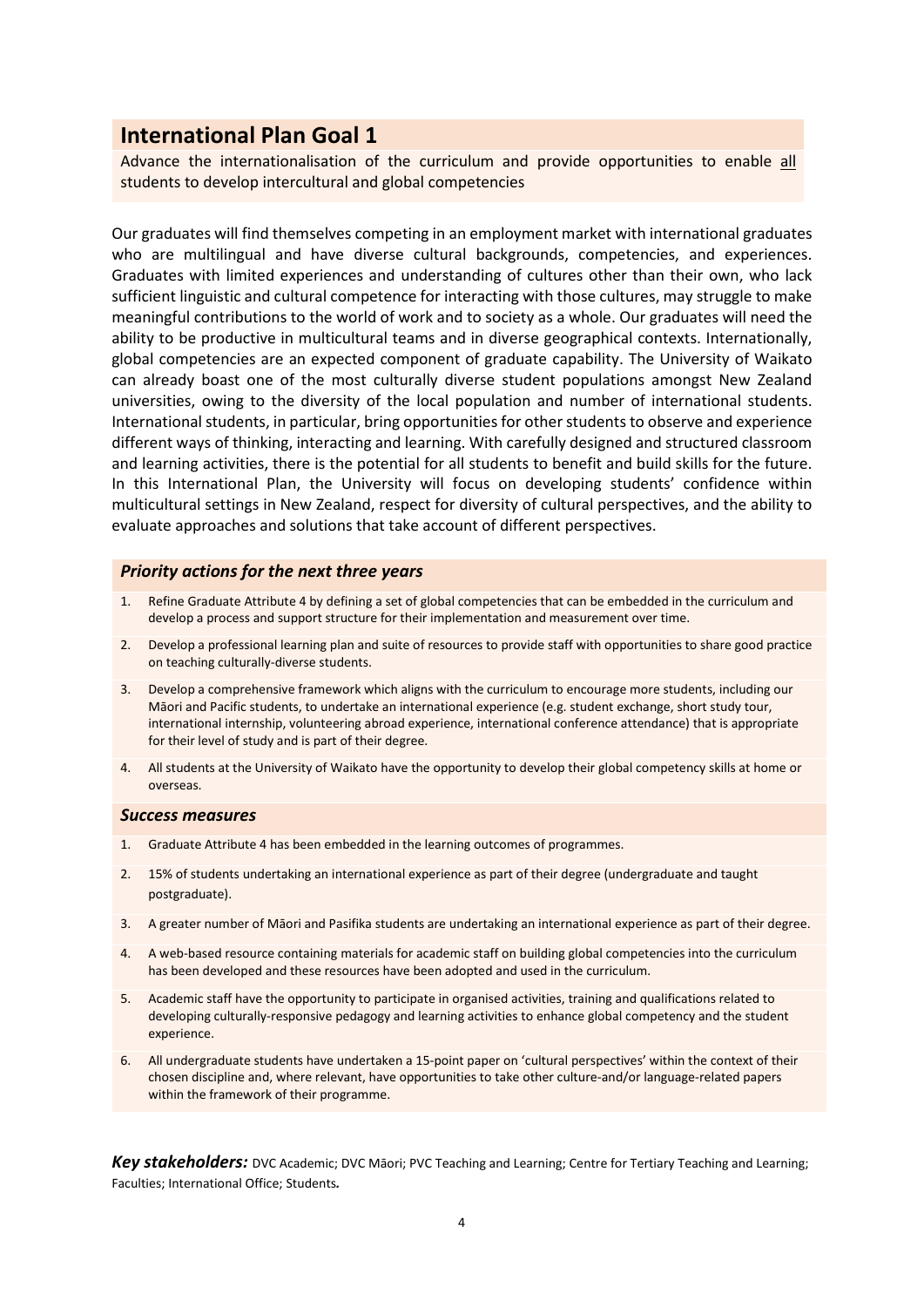Advance the internationalisation of the curriculum and provide opportunities to enable all students to develop intercultural and global competencies

Our graduates will find themselves competing in an employment market with international graduates who are multilingual and have diverse cultural backgrounds, competencies, and experiences. Graduates with limited experiences and understanding of cultures other than their own, who lack sufficient linguistic and cultural competence for interacting with those cultures, may struggle to make meaningful contributions to the world of work and to society as a whole. Our graduates will need the ability to be productive in multicultural teams and in diverse geographical contexts. Internationally, global competencies are an expected component of graduate capability. The University of Waikato can already boast one of the most culturally diverse student populations amongst New Zealand universities, owing to the diversity of the local population and number of international students. International students, in particular, bring opportunities for other students to observe and experience different ways of thinking, interacting and learning. With carefully designed and structured classroom and learning activities, there is the potential for all students to benefit and build skills for the future. In this International Plan, the University will focus on developing students' confidence within multicultural settings in New Zealand, respect for diversity of cultural perspectives, and the ability to evaluate approaches and solutions that take account of different perspectives.

### *Priority actions for the next three years*

- 1. Refine Graduate Attribute 4 by defining a set of global competencies that can be embedded in the curriculum and develop a process and support structure for their implementation and measurement over time.
- 2. Develop a professional learning plan and suite of resources to provide staff with opportunities to share good practice on teaching culturally-diverse students.
- 3. Develop a comprehensive framework which aligns with the curriculum to encourage more students, including our Māori and Pacific students, to undertake an international experience (e.g. student exchange, short study tour, international internship, volunteering abroad experience, international conference attendance) that is appropriate for their level of study and is part of their degree.
- 4. All students at the University of Waikato have the opportunity to develop their global competency skills at home or overseas.

#### *Success measures*

- 1. Graduate Attribute 4 has been embedded in the learning outcomes of programmes.
- 2. 15% of students undertaking an international experience as part of their degree (undergraduate and taught postgraduate).
- 3. A greater number of Māori and Pasifika students are undertaking an international experience as part of their degree.
- 4. A web-based resource containing materials for academic staff on building global competencies into the curriculum has been developed and these resources have been adopted and used in the curriculum.
- 5. Academic staff have the opportunity to participate in organised activities, training and qualifications related to developing culturally-responsive pedagogy and learning activities to enhance global competency and the student experience.
- 6. All undergraduate students have undertaken a 15-point paper on 'cultural perspectives' within the context of their chosen discipline and, where relevant, have opportunities to take other culture-and/or language-related papers within the framework of their programme.

*Key stakeholders:* DVC Academic; DVC Māori; PVC Teaching and Learning; Centre for Tertiary Teaching and Learning; Faculties; International Office; Students*.*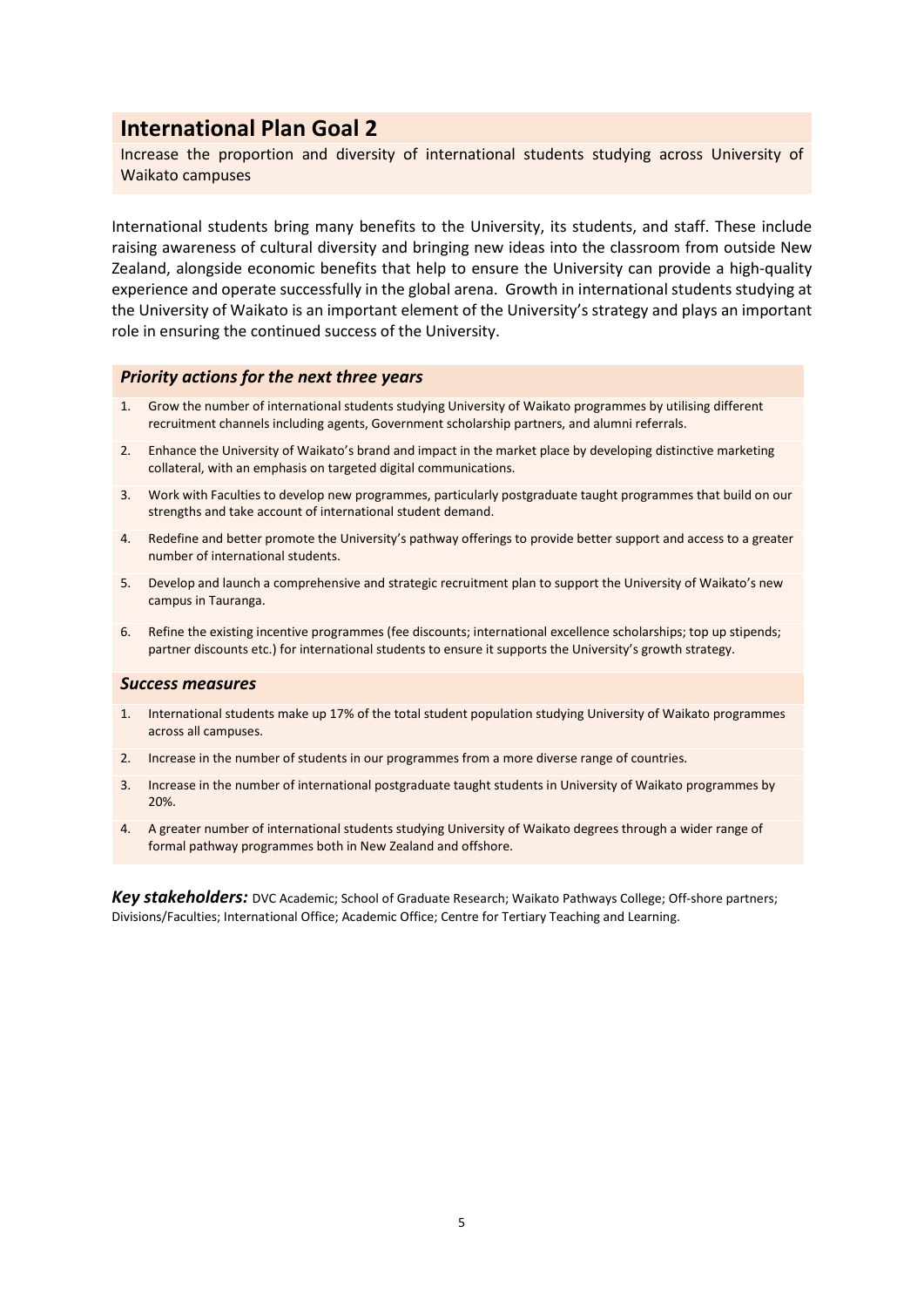Increase the proportion and diversity of international students studying across University of Waikato campuses

International students bring many benefits to the University, its students, and staff. These include raising awareness of cultural diversity and bringing new ideas into the classroom from outside New Zealand, alongside economic benefits that help to ensure the University can provide a high-quality experience and operate successfully in the global arena. Growth in international students studying at the University of Waikato is an important element of the University's strategy and plays an important role in ensuring the continued success of the University.

### *Priority actions for the next three years*

- 1. Grow the number of international students studying University of Waikato programmes by utilising different recruitment channels including agents, Government scholarship partners, and alumni referrals.
- 2. Enhance the University of Waikato's brand and impact in the market place by developing distinctive marketing collateral, with an emphasis on targeted digital communications.
- 3. Work with Faculties to develop new programmes, particularly postgraduate taught programmes that build on our strengths and take account of international student demand.
- 4. Redefine and better promote the University's pathway offerings to provide better support and access to a greater number of international students.
- 5. Develop and launch a comprehensive and strategic recruitment plan to support the University of Waikato's new campus in Tauranga.
- 6. Refine the existing incentive programmes (fee discounts; international excellence scholarships; top up stipends; partner discounts etc.) for international students to ensure it supports the University's growth strategy.

### *Success measures*

- 1. International students make up 17% of the total student population studying University of Waikato programmes across all campuses.
- 2. Increase in the number of students in our programmes from a more diverse range of countries.
- 3. Increase in the number of international postgraduate taught students in University of Waikato programmes by 20%.
- 4. A greater number of international students studying University of Waikato degrees through a wider range of formal pathway programmes both in New Zealand and offshore.

*Key stakeholders:* DVC Academic; School of Graduate Research; Waikato Pathways College; Off-shore partners; Divisions/Faculties; International Office; Academic Office; Centre for Tertiary Teaching and Learning.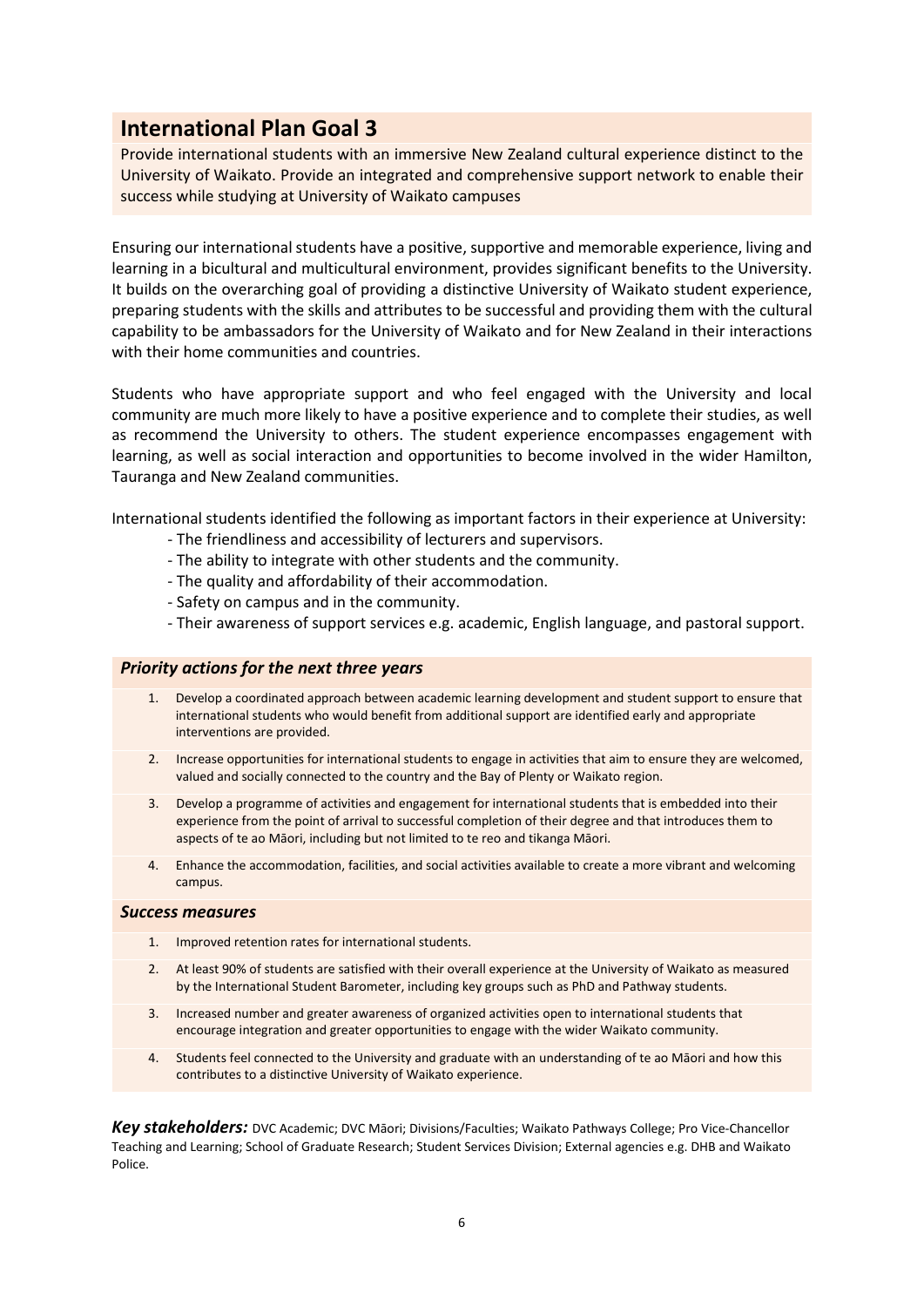Provide international students with an immersive New Zealand cultural experience distinct to the University of Waikato. Provide an integrated and comprehensive support network to enable their success while studying at University of Waikato campuses

Ensuring our international students have a positive, supportive and memorable experience, living and learning in a bicultural and multicultural environment, provides significant benefits to the University. It builds on the overarching goal of providing a distinctive University of Waikato student experience, preparing students with the skills and attributes to be successful and providing them with the cultural capability to be ambassadors for the University of Waikato and for New Zealand in their interactions with their home communities and countries.

Students who have appropriate support and who feel engaged with the University and local community are much more likely to have a positive experience and to complete their studies, as well as recommend the University to others. The student experience encompasses engagement with learning, as well as social interaction and opportunities to become involved in the wider Hamilton, Tauranga and New Zealand communities.

International students identified the following as important factors in their experience at University:

- The friendliness and accessibility of lecturers and supervisors.
- The ability to integrate with other students and the community.
- The quality and affordability of their accommodation.
- Safety on campus and in the community.
- Their awareness of support services e.g. academic, English language, and pastoral support.

### *Priority actions for the next three years*

- 1. Develop a coordinated approach between academic learning development and student support to ensure that international students who would benefit from additional support are identified early and appropriate interventions are provided.
- 2. Increase opportunities for international students to engage in activities that aim to ensure they are welcomed, valued and socially connected to the country and the Bay of Plenty or Waikato region.
- 3. Develop a programme of activities and engagement for international students that is embedded into their experience from the point of arrival to successful completion of their degree and that introduces them to aspects of te ao Māori, including but not limited to te reo and tikanga Māori.
- 4. Enhance the accommodation, facilities, and social activities available to create a more vibrant and welcoming campus.

### *Success measures*

- 1. Improved retention rates for international students.
- 2. At least 90% of students are satisfied with their overall experience at the University of Waikato as measured by the International Student Barometer, including key groups such as PhD and Pathway students.
- 3. Increased number and greater awareness of organized activities open to international students that encourage integration and greater opportunities to engage with the wider Waikato community.
- 4. Students feel connected to the University and graduate with an understanding of te ao Māori and how this contributes to a distinctive University of Waikato experience.

*Key stakeholders:* DVC Academic; DVC Māori; Divisions/Faculties; Waikato Pathways College; Pro Vice-Chancellor Teaching and Learning; School of Graduate Research; Student Services Division; External agencies e.g. DHB and Waikato Police.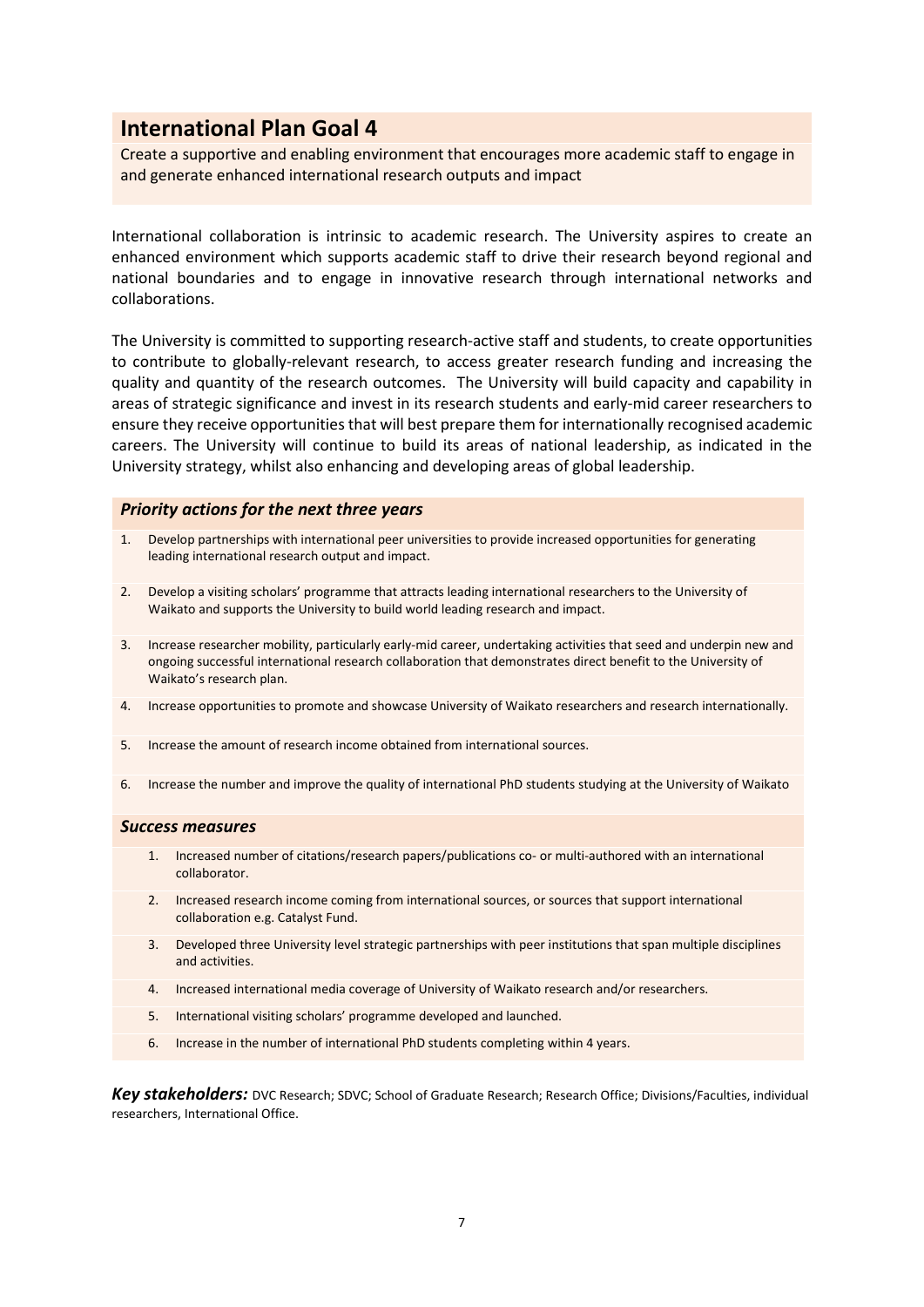Create a supportive and enabling environment that encourages more academic staff to engage in and generate enhanced international research outputs and impact

International collaboration is intrinsic to academic research. The University aspires to create an enhanced environment which supports academic staff to drive their research beyond regional and national boundaries and to engage in innovative research through international networks and collaborations.

The University is committed to supporting research-active staff and students, to create opportunities to contribute to globally-relevant research, to access greater research funding and increasing the quality and quantity of the research outcomes. The University will build capacity and capability in areas of strategic significance and invest in its research students and early-mid career researchers to ensure they receive opportunities that will best prepare them for internationally recognised academic careers. The University will continue to build its areas of national leadership, as indicated in the University strategy, whilst also enhancing and developing areas of global leadership.

### *Priority actions for the next three years*

- 1. Develop partnerships with international peer universities to provide increased opportunities for generating leading international research output and impact.
- 2. Develop a visiting scholars' programme that attracts leading international researchers to the University of Waikato and supports the University to build world leading research and impact.
- 3. Increase researcher mobility, particularly early-mid career, undertaking activities that seed and underpin new and ongoing successful international research collaboration that demonstrates direct benefit to the University of Waikato's research plan.
- 4. Increase opportunities to promote and showcase University of Waikato researchers and research internationally.
- 5. Increase the amount of research income obtained from international sources.
- 6. Increase the number and improve the quality of international PhD students studying at the University of Waikato

#### *Success measures*

- 1. Increased number of citations/research papers/publications co- or multi-authored with an international collaborator.
- 2. Increased research income coming from international sources, or sources that support international collaboration e.g. Catalyst Fund.
- 3. Developed three University level strategic partnerships with peer institutions that span multiple disciplines and activities.
- 4. Increased international media coverage of University of Waikato research and/or researchers.
- 5. International visiting scholars' programme developed and launched.
- 6. Increase in the number of international PhD students completing within 4 years.

*Key stakeholders:* DVC Research; SDVC; School of Graduate Research; Research Office; Divisions/Faculties, individual researchers, International Office.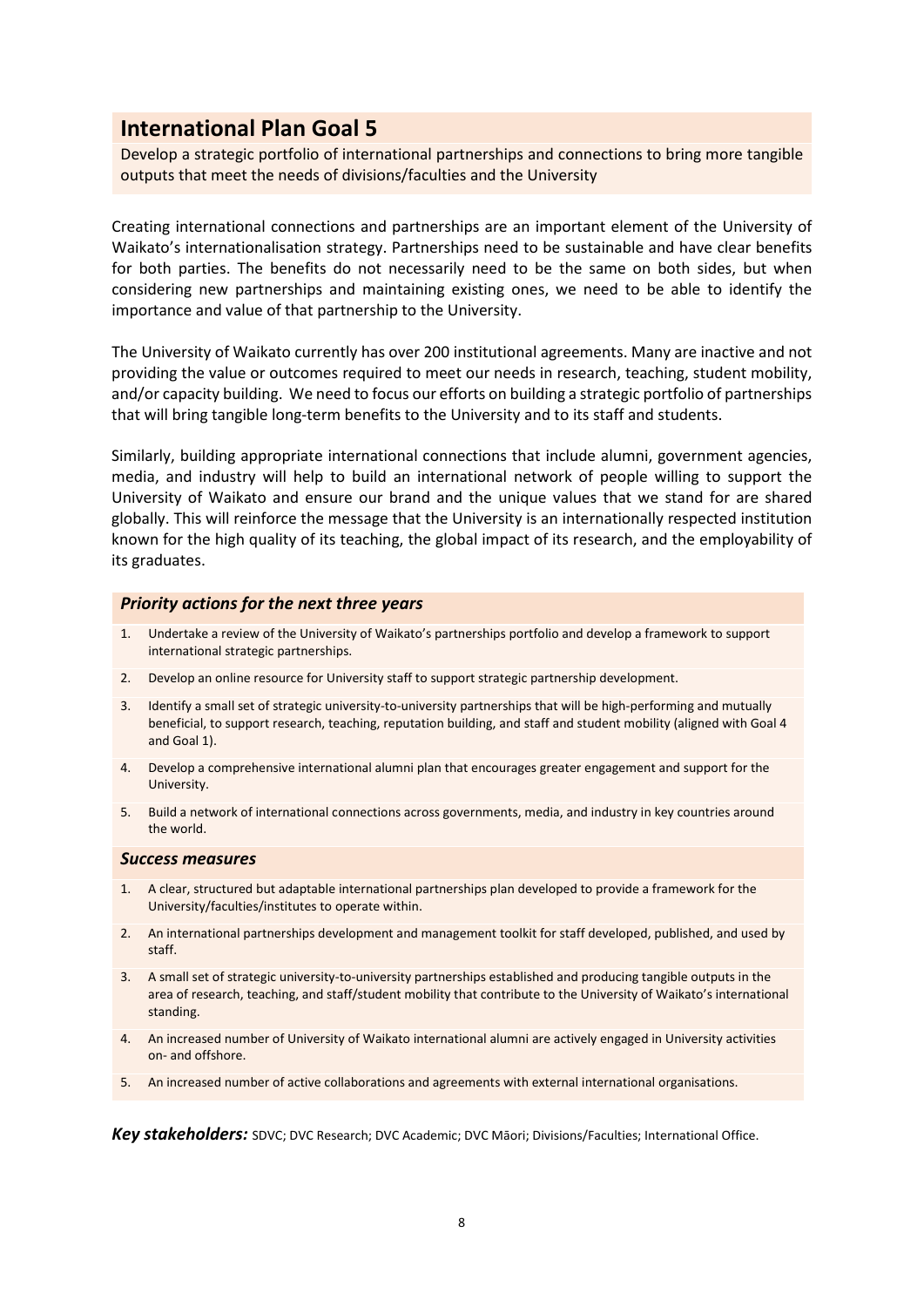Develop a strategic portfolio of international partnerships and connections to bring more tangible outputs that meet the needs of divisions/faculties and the University

Creating international connections and partnerships are an important element of the University of Waikato's internationalisation strategy. Partnerships need to be sustainable and have clear benefits for both parties. The benefits do not necessarily need to be the same on both sides, but when considering new partnerships and maintaining existing ones, we need to be able to identify the importance and value of that partnership to the University.

The University of Waikato currently has over 200 institutional agreements. Many are inactive and not providing the value or outcomes required to meet our needs in research, teaching, student mobility, and/or capacity building. We need to focus our efforts on building a strategic portfolio of partnerships that will bring tangible long-term benefits to the University and to its staff and students.

Similarly, building appropriate international connections that include alumni, government agencies, media, and industry will help to build an international network of people willing to support the University of Waikato and ensure our brand and the unique values that we stand for are shared globally. This will reinforce the message that the University is an internationally respected institution known for the high quality of its teaching, the global impact of its research, and the employability of its graduates.

### *Priority actions for the next three years*

- 1. Undertake a review of the University of Waikato's partnerships portfolio and develop a framework to support international strategic partnerships.
- 2. Develop an online resource for University staff to support strategic partnership development.
- 3. Identify a small set of strategic university-to-university partnerships that will be high-performing and mutually beneficial, to support research, teaching, reputation building, and staff and student mobility (aligned with Goal 4 and Goal 1).
- 4. Develop a comprehensive international alumni plan that encourages greater engagement and support for the University.
- 5. Build a network of international connections across governments, media, and industry in key countries around the world.

### *Success measures*

- 1. A clear, structured but adaptable international partnerships plan developed to provide a framework for the University/faculties/institutes to operate within.
- 2. An international partnerships development and management toolkit for staff developed, published, and used by staff.
- 3. A small set of strategic university-to-university partnerships established and producing tangible outputs in the area of research, teaching, and staff/student mobility that contribute to the University of Waikato's international standing.
- 4. An increased number of University of Waikato international alumni are actively engaged in University activities on- and offshore.
- 5. An increased number of active collaborations and agreements with external international organisations.

*Key stakeholders:* SDVC; DVC Research; DVC Academic; DVC Māori; Divisions/Faculties; International Office.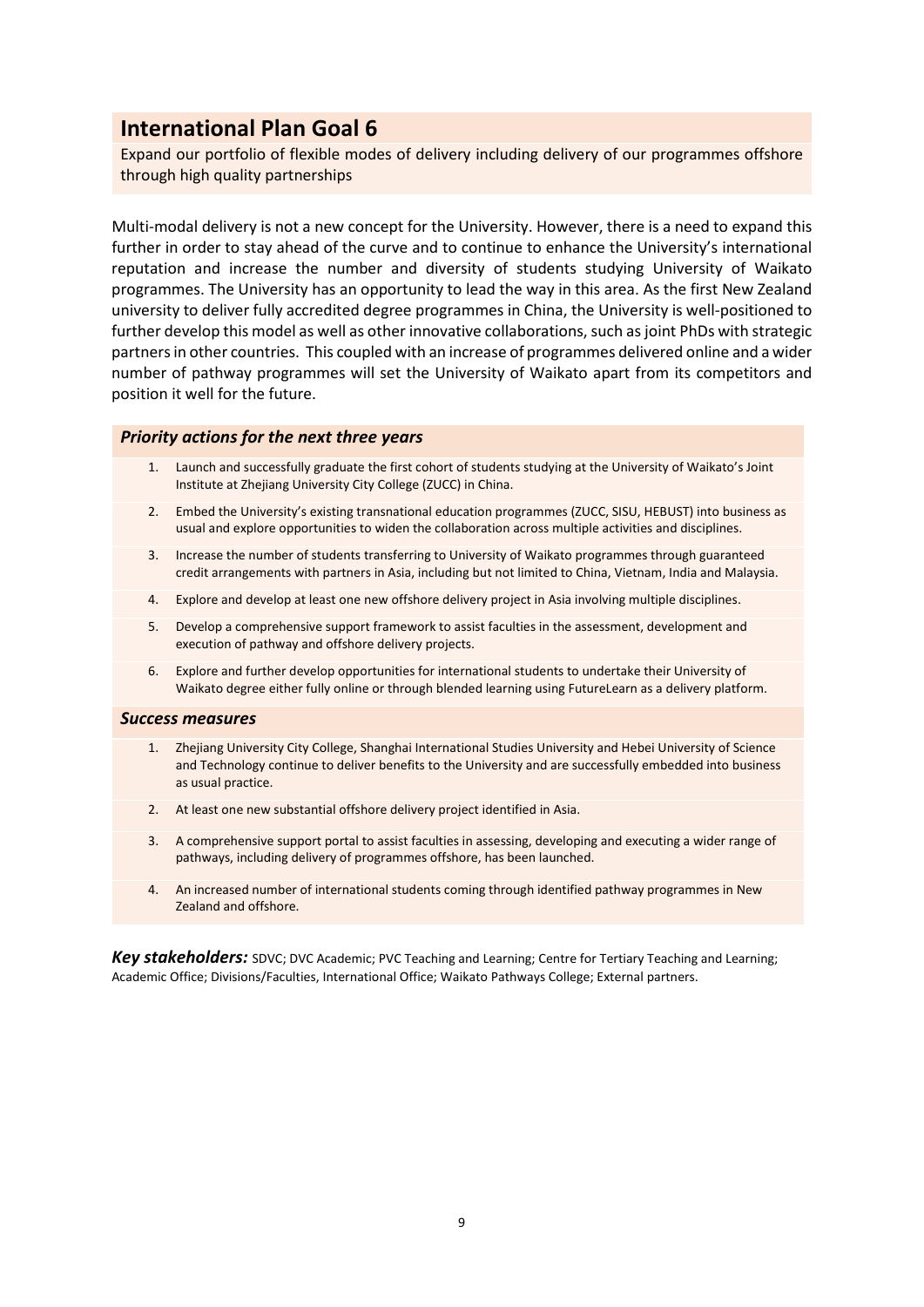Expand our portfolio of flexible modes of delivery including delivery of our programmes offshore through high quality partnerships

Multi-modal delivery is not a new concept for the University. However, there is a need to expand this further in order to stay ahead of the curve and to continue to enhance the University's international reputation and increase the number and diversity of students studying University of Waikato programmes. The University has an opportunity to lead the way in this area. As the first New Zealand university to deliver fully accredited degree programmes in China, the University is well-positioned to further develop this model as well as other innovative collaborations, such as joint PhDs with strategic partners in other countries. This coupled with an increase of programmes delivered online and a wider number of pathway programmes will set the University of Waikato apart from its competitors and position it well for the future.

### *Priority actions for the next three years*

- 1. Launch and successfully graduate the first cohort of students studying at the University of Waikato's Joint Institute at Zhejiang University City College (ZUCC) in China.
- 2. Embed the University's existing transnational education programmes (ZUCC, SISU, HEBUST) into business as usual and explore opportunities to widen the collaboration across multiple activities and disciplines.
- 3. Increase the number of students transferring to University of Waikato programmes through guaranteed credit arrangements with partners in Asia, including but not limited to China, Vietnam, India and Malaysia.
- 4. Explore and develop at least one new offshore delivery project in Asia involving multiple disciplines.
- 5. Develop a comprehensive support framework to assist faculties in the assessment, development and execution of pathway and offshore delivery projects.
- 6. Explore and further develop opportunities for international students to undertake their University of Waikato degree either fully online or through blended learning using FutureLearn as a delivery platform.

### *Success measures*

- 1. Zhejiang University City College, Shanghai International Studies University and Hebei University of Science and Technology continue to deliver benefits to the University and are successfully embedded into business as usual practice.
- 2. At least one new substantial offshore delivery project identified in Asia.
- 3. A comprehensive support portal to assist faculties in assessing, developing and executing a wider range of pathways, including delivery of programmes offshore, has been launched.
- 4. An increased number of international students coming through identified pathway programmes in New Zealand and offshore.

*Key stakeholders:* SDVC; DVC Academic; PVC Teaching and Learning; Centre for Tertiary Teaching and Learning; Academic Office; Divisions/Faculties, International Office; Waikato Pathways College; External partners.